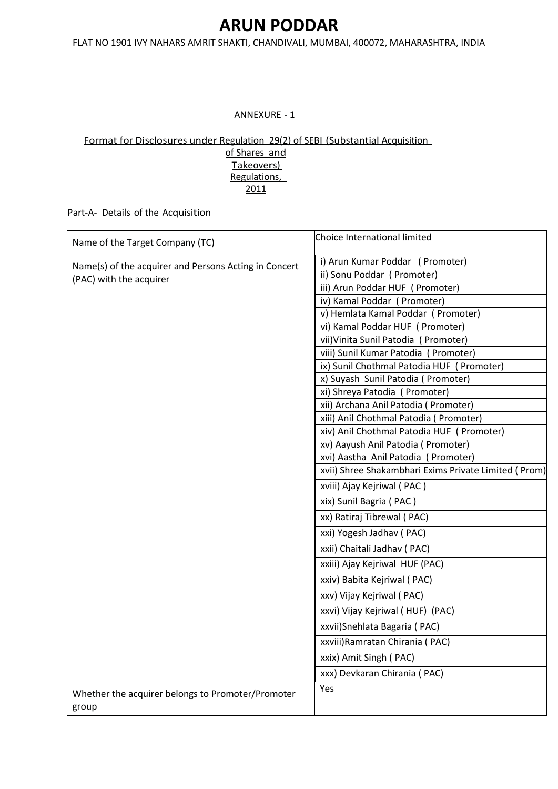FLAT NO 1901 IVY NAHARS AMRIT SHAKTI, CHANDIVALI, MUMBAI, 400072, MAHARASHTRA, INDIA

#### ANNEXURE - 1

#### Format for Disclosures under Regulation 29(2) of SEBI (Substantial Acquisition

of Shares and Takeovers) Regulations, 2011

Part-A- Details of the Acquisition

| Name of the Target Company (TC)                                                  | Choice International limited                                                         |  |  |
|----------------------------------------------------------------------------------|--------------------------------------------------------------------------------------|--|--|
| Name(s) of the acquirer and Persons Acting in Concert<br>(PAC) with the acquirer | i) Arun Kumar Poddar (Promoter)                                                      |  |  |
|                                                                                  | ii) Sonu Poddar (Promoter)                                                           |  |  |
|                                                                                  | iii) Arun Poddar HUF (Promoter)                                                      |  |  |
|                                                                                  | iv) Kamal Poddar (Promoter)                                                          |  |  |
|                                                                                  | v) Hemlata Kamal Poddar (Promoter)                                                   |  |  |
|                                                                                  | vi) Kamal Poddar HUF (Promoter)                                                      |  |  |
|                                                                                  | vii) Vinita Sunil Patodia (Promoter)                                                 |  |  |
|                                                                                  | viii) Sunil Kumar Patodia (Promoter)                                                 |  |  |
|                                                                                  | ix) Sunil Chothmal Patodia HUF (Promoter)                                            |  |  |
|                                                                                  | x) Suyash Sunil Patodia (Promoter)                                                   |  |  |
|                                                                                  | xi) Shreya Patodia ( Promoter)                                                       |  |  |
|                                                                                  | xii) Archana Anil Patodia ( Promoter)                                                |  |  |
|                                                                                  | xiii) Anil Chothmal Patodia ( Promoter)<br>xiv) Anil Chothmal Patodia HUF (Promoter) |  |  |
|                                                                                  | xv) Aayush Anil Patodia (Promoter)                                                   |  |  |
|                                                                                  | xvi) Aastha Anil Patodia (Promoter)                                                  |  |  |
|                                                                                  | xvii) Shree Shakambhari Exims Private Limited (Prom)                                 |  |  |
|                                                                                  | xviii) Ajay Kejriwal (PAC)                                                           |  |  |
|                                                                                  | xix) Sunil Bagria (PAC)                                                              |  |  |
|                                                                                  | xx) Ratiraj Tibrewal (PAC)                                                           |  |  |
|                                                                                  | xxi) Yogesh Jadhav (PAC)                                                             |  |  |
|                                                                                  | xxii) Chaitali Jadhav (PAC)                                                          |  |  |
|                                                                                  | xxiii) Ajay Kejriwal HUF (PAC)                                                       |  |  |
|                                                                                  | xxiv) Babita Kejriwal (PAC)                                                          |  |  |
|                                                                                  | xxv) Vijay Kejriwal (PAC)                                                            |  |  |
|                                                                                  | xxvi) Vijay Kejriwal (HUF) (PAC)                                                     |  |  |
|                                                                                  | xxvii) Snehlata Bagaria (PAC)                                                        |  |  |
|                                                                                  | xxviii) Ramratan Chirania (PAC)                                                      |  |  |
|                                                                                  | xxix) Amit Singh (PAC)                                                               |  |  |
|                                                                                  | xxx) Devkaran Chirania (PAC)                                                         |  |  |
| Whether the acquirer belongs to Promoter/Promoter<br>group                       | Yes                                                                                  |  |  |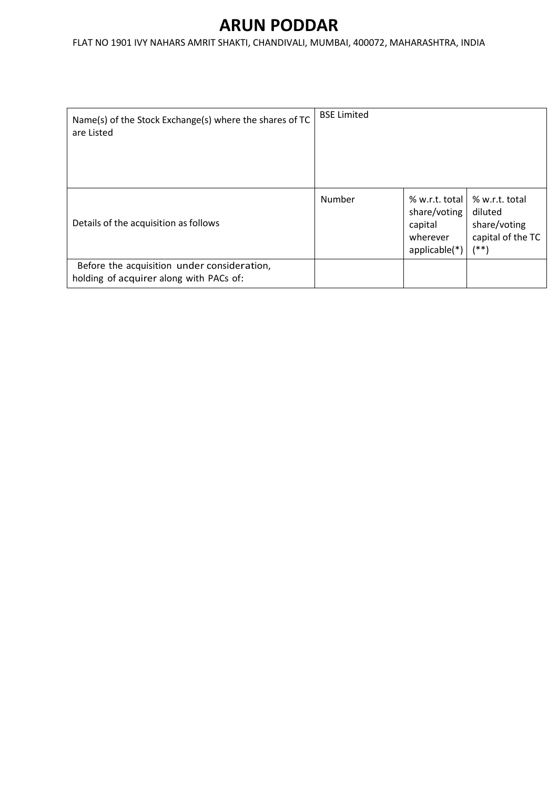| Name(s) of the Stock Exchange(s) where the shares of TC<br>are Listed                  | <b>BSE Limited</b> |                                                                          |                                                                            |
|----------------------------------------------------------------------------------------|--------------------|--------------------------------------------------------------------------|----------------------------------------------------------------------------|
| Details of the acquisition as follows                                                  | Number             | % w.r.t. total<br>share/voting<br>capital<br>wherever<br>$applicable(*)$ | % w.r.t. total<br>diluted<br>share/voting<br>capital of the TC<br>$^{(*)}$ |
| Before the acquisition under consideration,<br>holding of acquirer along with PACs of: |                    |                                                                          |                                                                            |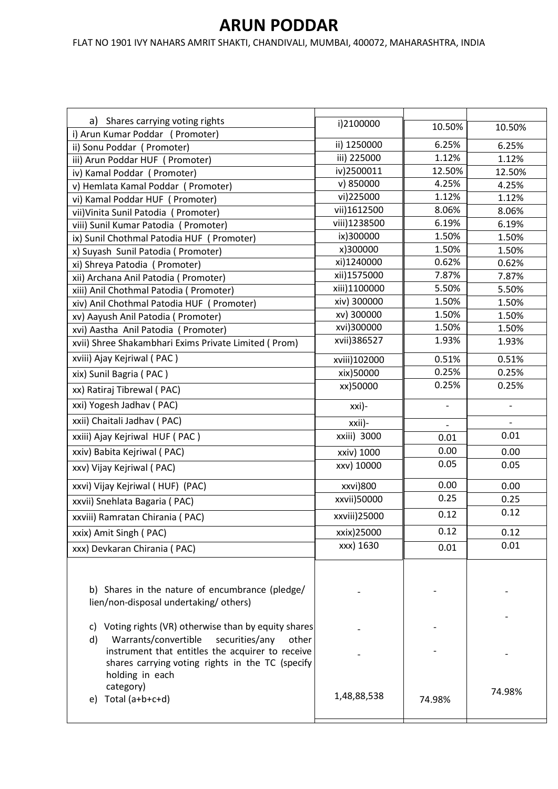| Shares carrying voting rights<br>a)                                                                                                                                              | i)2100000    | 10.50% | 10.50%         |
|----------------------------------------------------------------------------------------------------------------------------------------------------------------------------------|--------------|--------|----------------|
| i) Arun Kumar Poddar (Promoter)                                                                                                                                                  | ii) 1250000  | 6.25%  | 6.25%          |
| ii) Sonu Poddar (Promoter)                                                                                                                                                       | iii) 225000  | 1.12%  | 1.12%          |
| iii) Arun Poddar HUF (Promoter)                                                                                                                                                  | iv)2500011   | 12.50% | 12.50%         |
| iv) Kamal Poddar (Promoter)                                                                                                                                                      | v) 850000    | 4.25%  | 4.25%          |
| v) Hemlata Kamal Poddar (Promoter)<br>vi) Kamal Poddar HUF (Promoter)                                                                                                            | vi)225000    | 1.12%  | 1.12%          |
| vii) Vinita Sunil Patodia (Promoter)                                                                                                                                             | vii)1612500  | 8.06%  | 8.06%          |
| viii) Sunil Kumar Patodia (Promoter)                                                                                                                                             | viii)1238500 | 6.19%  | 6.19%          |
| ix) Sunil Chothmal Patodia HUF (Promoter)                                                                                                                                        | ix)300000    | 1.50%  | 1.50%          |
| x) Suyash Sunil Patodia ( Promoter)                                                                                                                                              | x)300000     | 1.50%  | 1.50%          |
| xi) Shreya Patodia (Promoter)                                                                                                                                                    | xi)1240000   | 0.62%  | 0.62%          |
| xii) Archana Anil Patodia ( Promoter)                                                                                                                                            | xii)1575000  | 7.87%  | 7.87%          |
| xiii) Anil Chothmal Patodia ( Promoter)                                                                                                                                          | xiii)1100000 | 5.50%  | 5.50%          |
| xiv) Anil Chothmal Patodia HUF (Promoter)                                                                                                                                        | xiv) 300000  | 1.50%  | 1.50%          |
| xv) Aayush Anil Patodia (Promoter)                                                                                                                                               | xv) 300000   | 1.50%  | 1.50%          |
| xvi) Aastha Anil Patodia (Promoter)                                                                                                                                              | xvi)300000   | 1.50%  | 1.50%          |
| xvii) Shree Shakambhari Exims Private Limited (Prom)                                                                                                                             | xvii)386527  | 1.93%  | 1.93%          |
| xviii) Ajay Kejriwal (PAC)                                                                                                                                                       | xviii)102000 | 0.51%  | 0.51%          |
| xix) Sunil Bagria (PAC)                                                                                                                                                          | xix)50000    | 0.25%  | 0.25%          |
| xx) Ratiraj Tibrewal (PAC)                                                                                                                                                       | xx)50000     | 0.25%  | 0.25%          |
| xxi) Yogesh Jadhav (PAC)                                                                                                                                                         | xxi)-        |        | $\overline{a}$ |
| xxii) Chaitali Jadhav (PAC)                                                                                                                                                      | xxii)-       |        |                |
| xxiii) Ajay Kejriwal HUF (PAC)                                                                                                                                                   | xxiii) 3000  | 0.01   | 0.01           |
| xxiv) Babita Kejriwal (PAC)                                                                                                                                                      | xxiv) 1000   | 0.00   | 0.00           |
| xxv) Vijay Kejriwal (PAC)                                                                                                                                                        | xxv) 10000   | 0.05   | 0.05           |
| xxvi) Vijay Kejriwal (HUF) (PAC)                                                                                                                                                 | xxvi)800     | 0.00   | 0.00           |
| xxvii) Snehlata Bagaria (PAC)                                                                                                                                                    | xxvii)50000  | 0.25   | 0.25           |
| xxviii) Ramratan Chirania (PAC)                                                                                                                                                  | xxviii)25000 | 0.12   | 0.12           |
| xxix) Amit Singh (PAC)                                                                                                                                                           | xxix)25000   | 0.12   | 0.12           |
| xxx) Devkaran Chirania (PAC)                                                                                                                                                     | xxx) 1630    | 0.01   | 0.01           |
| b) Shares in the nature of encumbrance (pledge/                                                                                                                                  |              |        |                |
| lien/non-disposal undertaking/others)                                                                                                                                            |              |        |                |
| Voting rights (VR) otherwise than by equity shares                                                                                                                               |              |        |                |
| C)                                                                                                                                                                               |              |        |                |
| Warrants/convertible<br>d)<br>securities/any<br>other<br>instrument that entitles the acquirer to receive<br>shares carrying voting rights in the TC (specify<br>holding in each |              |        |                |
| category)<br>Total (a+b+c+d)<br>e)                                                                                                                                               | 1,48,88,538  | 74.98% | 74.98%         |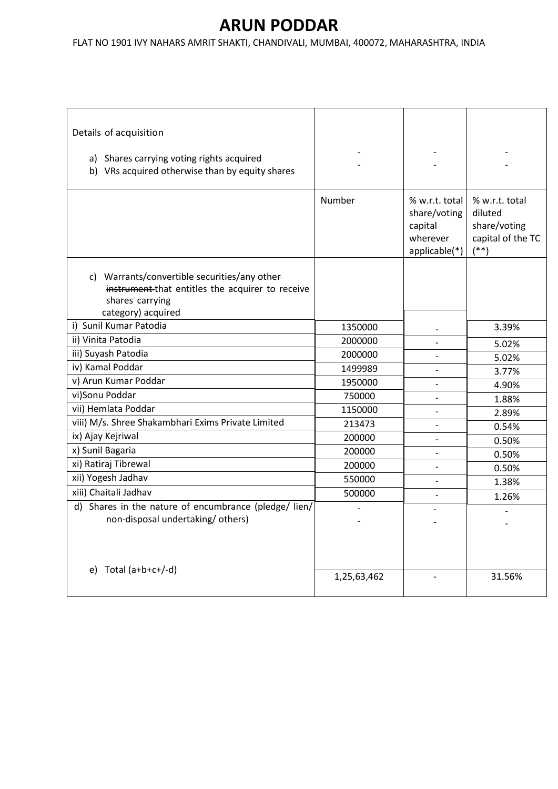| Details of acquisition<br>a) Shares carrying voting rights acquired<br>b) VRs acquired otherwise than by equity shares                     |             |                                                                        |                                                                          |
|--------------------------------------------------------------------------------------------------------------------------------------------|-------------|------------------------------------------------------------------------|--------------------------------------------------------------------------|
|                                                                                                                                            | Number      | % w.r.t. total<br>share/voting<br>capital<br>wherever<br>applicable(*) | % w.r.t. total<br>diluted<br>share/voting<br>capital of the TC<br>$(**)$ |
| c) Warrants/convertible securities/any other-<br>instrument that entitles the acquirer to receive<br>shares carrying<br>category) acquired |             |                                                                        |                                                                          |
| i) Sunil Kumar Patodia                                                                                                                     | 1350000     |                                                                        | 3.39%                                                                    |
| ii) Vinita Patodia                                                                                                                         | 2000000     |                                                                        | 5.02%                                                                    |
| iii) Suyash Patodia                                                                                                                        | 2000000     | $\overline{\phantom{0}}$                                               | 5.02%                                                                    |
| iv) Kamal Poddar                                                                                                                           | 1499989     |                                                                        | 3.77%                                                                    |
| v) Arun Kumar Poddar                                                                                                                       | 1950000     |                                                                        | 4.90%                                                                    |
| vi)Sonu Poddar                                                                                                                             | 750000      |                                                                        | 1.88%                                                                    |
| vii) Hemlata Poddar                                                                                                                        | 1150000     | $\overline{\phantom{a}}$                                               | 2.89%                                                                    |
| viii) M/s. Shree Shakambhari Exims Private Limited                                                                                         | 213473      |                                                                        | 0.54%                                                                    |
| ix) Ajay Kejriwal                                                                                                                          | 200000      | $\overline{a}$                                                         | 0.50%                                                                    |
| x) Sunil Bagaria                                                                                                                           | 200000      |                                                                        | 0.50%                                                                    |
| xi) Ratiraj Tibrewal                                                                                                                       | 200000      | $\overline{\phantom{a}}$                                               | 0.50%                                                                    |
| xii) Yogesh Jadhav                                                                                                                         | 550000      | $\overline{\phantom{0}}$                                               | 1.38%                                                                    |
| xiii) Chaitali Jadhav                                                                                                                      | 500000      |                                                                        | 1.26%                                                                    |
| d) Shares in the nature of encumbrance (pledge/ lien/                                                                                      |             |                                                                        |                                                                          |
| non-disposal undertaking/others)                                                                                                           |             |                                                                        |                                                                          |
| e) Total $(a+b+c+/-d)$                                                                                                                     | 1,25,63,462 |                                                                        | 31.56%                                                                   |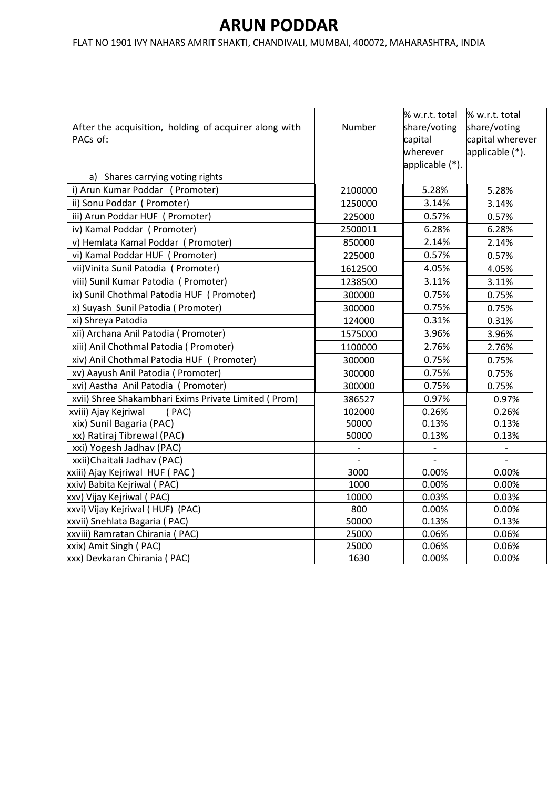|                                                       |         | % w.r.t. total  | % w.r.t. total           |
|-------------------------------------------------------|---------|-----------------|--------------------------|
| After the acquisition, holding of acquirer along with | Number  | share/voting    | share/voting             |
| PACs of:                                              |         | capital         | capital wherever         |
|                                                       |         | wherever        | applicable (*).          |
|                                                       |         | applicable (*). |                          |
| a) Shares carrying voting rights                      |         |                 |                          |
| i) Arun Kumar Poddar (Promoter)                       | 2100000 | 5.28%           | 5.28%                    |
| ii) Sonu Poddar (Promoter)                            | 1250000 | 3.14%           | 3.14%                    |
| iii) Arun Poddar HUF (Promoter)                       | 225000  | 0.57%           | 0.57%                    |
| iv) Kamal Poddar (Promoter)                           | 2500011 | 6.28%           | 6.28%                    |
| v) Hemlata Kamal Poddar (Promoter)                    | 850000  | 2.14%           | 2.14%                    |
| vi) Kamal Poddar HUF (Promoter)                       | 225000  | 0.57%           | 0.57%                    |
| vii) Vinita Sunil Patodia (Promoter)                  | 1612500 | 4.05%           | 4.05%                    |
| viii) Sunil Kumar Patodia (Promoter)                  | 1238500 | 3.11%           | 3.11%                    |
| ix) Sunil Chothmal Patodia HUF (Promoter)             | 300000  | 0.75%           | 0.75%                    |
| x) Suyash Sunil Patodia (Promoter)                    | 300000  | 0.75%           | 0.75%                    |
| xi) Shreya Patodia                                    | 124000  | 0.31%           | 0.31%                    |
| xii) Archana Anil Patodia ( Promoter)                 | 1575000 | 3.96%           | 3.96%                    |
| xiii) Anil Chothmal Patodia (Promoter)                | 1100000 | 2.76%           | 2.76%                    |
| xiv) Anil Chothmal Patodia HUF (Promoter)             | 300000  | 0.75%           | 0.75%                    |
| xv) Aayush Anil Patodia (Promoter)                    | 300000  | 0.75%           | 0.75%                    |
| xvi) Aastha Anil Patodia (Promoter)                   | 300000  | 0.75%           | 0.75%                    |
| xvii) Shree Shakambhari Exims Private Limited ( Prom) | 386527  | 0.97%           | 0.97%                    |
| xviii) Ajay Kejriwal<br>(PAC)                         | 102000  | 0.26%           | 0.26%                    |
| xix) Sunil Bagaria (PAC)                              | 50000   | 0.13%           | 0.13%                    |
| xx) Ratiraj Tibrewal (PAC)                            | 50000   | 0.13%           | 0.13%                    |
| xxi) Yogesh Jadhav (PAC)                              |         |                 |                          |
| xxii) Chaitali Jadhav (PAC)                           |         |                 | $\overline{\phantom{m}}$ |
| xxiii) Ajay Kejriwal HUF (PAC)                        | 3000    | 0.00%           | 0.00%                    |
| xxiv) Babita Kejriwal (PAC)                           | 1000    | 0.00%           | 0.00%                    |
| xxv) Vijay Kejriwal (PAC)                             | 10000   | 0.03%           | 0.03%                    |
| xxvi) Vijay Kejriwal (HUF) (PAC)                      | 800     | 0.00%           | 0.00%                    |
| xxvii) Snehlata Bagaria (PAC)                         | 50000   | 0.13%           | 0.13%                    |
| xxviii) Ramratan Chirania ( PAC)                      | 25000   | 0.06%           | 0.06%                    |
| xxix) Amit Singh (PAC)                                | 25000   | 0.06%           | 0.06%                    |
| xxx) Devkaran Chirania (PAC)                          | 1630    | 0.00%           | 0.00%                    |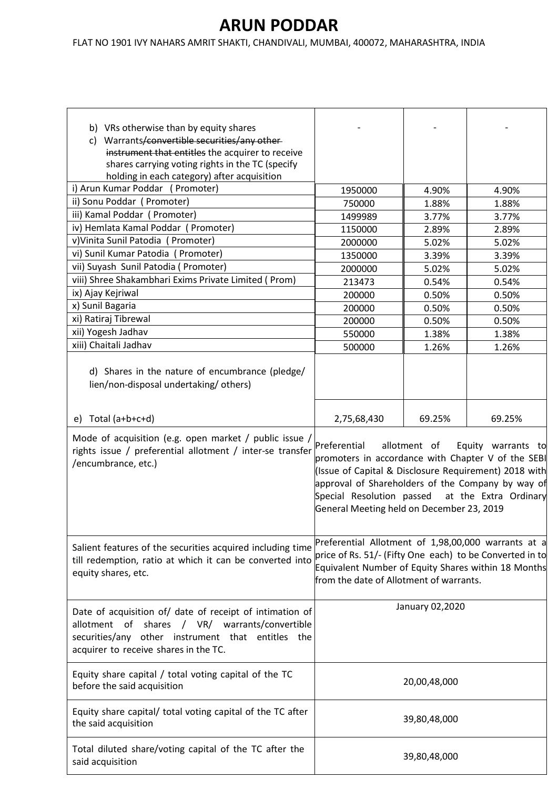| b) VRs otherwise than by equity shares<br>Warrants/convertible securities/any other-<br>C)<br>instrument that entitles the acquirer to receive<br>shares carrying voting rights in the TC (specify<br>holding in each category) after acquisition |                                                                                                                                                                                                                                                                                                                           |        |        |
|---------------------------------------------------------------------------------------------------------------------------------------------------------------------------------------------------------------------------------------------------|---------------------------------------------------------------------------------------------------------------------------------------------------------------------------------------------------------------------------------------------------------------------------------------------------------------------------|--------|--------|
| i) Arun Kumar Poddar (Promoter)                                                                                                                                                                                                                   | 1950000                                                                                                                                                                                                                                                                                                                   | 4.90%  | 4.90%  |
| ii) Sonu Poddar (Promoter)                                                                                                                                                                                                                        | 750000                                                                                                                                                                                                                                                                                                                    | 1.88%  | 1.88%  |
| iii) Kamal Poddar (Promoter)                                                                                                                                                                                                                      | 1499989                                                                                                                                                                                                                                                                                                                   | 3.77%  | 3.77%  |
| iv) Hemlata Kamal Poddar (Promoter)                                                                                                                                                                                                               | 1150000                                                                                                                                                                                                                                                                                                                   | 2.89%  | 2.89%  |
| v) Vinita Sunil Patodia (Promoter)                                                                                                                                                                                                                | 2000000                                                                                                                                                                                                                                                                                                                   | 5.02%  | 5.02%  |
| vi) Sunil Kumar Patodia (Promoter)                                                                                                                                                                                                                | 1350000                                                                                                                                                                                                                                                                                                                   | 3.39%  | 3.39%  |
| vii) Suyash Sunil Patodia ( Promoter)                                                                                                                                                                                                             | 2000000                                                                                                                                                                                                                                                                                                                   | 5.02%  | 5.02%  |
| viii) Shree Shakambhari Exims Private Limited (Prom)                                                                                                                                                                                              | 213473                                                                                                                                                                                                                                                                                                                    | 0.54%  | 0.54%  |
| ix) Ajay Kejriwal                                                                                                                                                                                                                                 | 200000                                                                                                                                                                                                                                                                                                                    | 0.50%  | 0.50%  |
| x) Sunil Bagaria                                                                                                                                                                                                                                  | 200000                                                                                                                                                                                                                                                                                                                    | 0.50%  | 0.50%  |
| xi) Ratiraj Tibrewal                                                                                                                                                                                                                              | 200000                                                                                                                                                                                                                                                                                                                    | 0.50%  | 0.50%  |
| xii) Yogesh Jadhav                                                                                                                                                                                                                                | 550000                                                                                                                                                                                                                                                                                                                    | 1.38%  | 1.38%  |
| xiii) Chaitali Jadhav                                                                                                                                                                                                                             | 500000                                                                                                                                                                                                                                                                                                                    | 1.26%  | 1.26%  |
| d) Shares in the nature of encumbrance (pledge/<br>lien/non-disposal undertaking/others)                                                                                                                                                          |                                                                                                                                                                                                                                                                                                                           |        |        |
| e) Total $(a+b+c+d)$                                                                                                                                                                                                                              | 2,75,68,430                                                                                                                                                                                                                                                                                                               | 69.25% | 69.25% |
| Mode of acquisition (e.g. open market / public issue /<br>rights issue / preferential allotment / inter-se transfer<br>/encumbrance, etc.)                                                                                                        | Preferential<br>allotment of<br>Equity warrants to<br>promoters in accordance with Chapter V of the SEBI<br>(Issue of Capital & Disclosure Requirement) 2018 with<br>approval of Shareholders of the Company by way of<br>Special Resolution passed<br>at the Extra Ordinary<br>General Meeting held on December 23, 2019 |        |        |
| Salient features of the securities acquired including time<br>till redemption, ratio at which it can be converted into<br>equity shares, etc.                                                                                                     | Preferential Allotment of 1,98,00,000 warrants at a<br>price of Rs. 51/- (Fifty One each) to be Converted in to<br>Equivalent Number of Equity Shares within 18 Months<br>from the date of Allotment of warrants.                                                                                                         |        |        |
| Date of acquisition of/ date of receipt of intimation of<br>allotment of<br>shares / VR/ warrants/convertible<br>securities/any other instrument that entitles the<br>acquirer to receive shares in the TC.                                       | January 02,2020                                                                                                                                                                                                                                                                                                           |        |        |
| Equity share capital / total voting capital of the TC<br>before the said acquisition                                                                                                                                                              | 20,00,48,000                                                                                                                                                                                                                                                                                                              |        |        |
| Equity share capital/ total voting capital of the TC after<br>the said acquisition                                                                                                                                                                | 39,80,48,000                                                                                                                                                                                                                                                                                                              |        |        |
| Total diluted share/voting capital of the TC after the<br>said acquisition                                                                                                                                                                        | 39,80,48,000                                                                                                                                                                                                                                                                                                              |        |        |